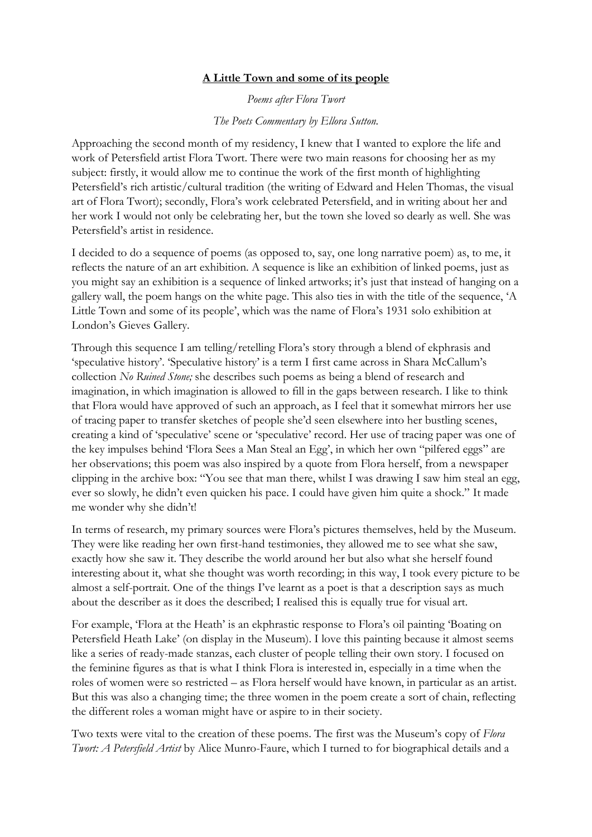## **A Little Town and some of its people**

*Poems after Flora Twort*

*The Poets Commentary by Ellora Sutton.*

Approaching the second month of my residency, I knew that I wanted to explore the life and work of Petersfield artist Flora Twort. There were two main reasons for choosing her as my subject: firstly, it would allow me to continue the work of the first month of highlighting Petersfield's rich artistic/cultural tradition (the writing of Edward and Helen Thomas, the visual art of Flora Twort); secondly, Flora's work celebrated Petersfield, and in writing about her and her work I would not only be celebrating her, but the town she loved so dearly as well. She was Petersfield's artist in residence.

I decided to do a sequence of poems (as opposed to, say, one long narrative poem) as, to me, it reflects the nature of an art exhibition. A sequence is like an exhibition of linked poems, just as you might say an exhibition is a sequence of linked artworks; it's just that instead of hanging on a gallery wall, the poem hangs on the white page. This also ties in with the title of the sequence, 'A Little Town and some of its people', which was the name of Flora's 1931 solo exhibition at London's Gieves Gallery.

Through this sequence I am telling/retelling Flora's story through a blend of ekphrasis and 'speculative history'. 'Speculative history' is a term I first came across in Shara McCallum's collection *No Ruined Stone;* she describes such poems as being a blend of research and imagination, in which imagination is allowed to fill in the gaps between research. I like to think that Flora would have approved of such an approach, as I feel that it somewhat mirrors her use of tracing paper to transfer sketches of people she'd seen elsewhere into her bustling scenes, creating a kind of 'speculative' scene or 'speculative' record. Her use of tracing paper was one of the key impulses behind 'Flora Sees a Man Steal an Egg', in which her own "pilfered eggs" are her observations; this poem was also inspired by a quote from Flora herself, from a newspaper clipping in the archive box: "You see that man there, whilst I was drawing I saw him steal an egg, ever so slowly, he didn't even quicken his pace. I could have given him quite a shock." It made me wonder why she didn't!

In terms of research, my primary sources were Flora's pictures themselves, held by the Museum. They were like reading her own first-hand testimonies, they allowed me to see what she saw, exactly how she saw it. They describe the world around her but also what she herself found interesting about it, what she thought was worth recording; in this way, I took every picture to be almost a self-portrait. One of the things I've learnt as a poet is that a description says as much about the describer as it does the described; I realised this is equally true for visual art.

For example, 'Flora at the Heath' is an ekphrastic response to Flora's oil painting 'Boating on Petersfield Heath Lake' (on display in the Museum). I love this painting because it almost seems like a series of ready-made stanzas, each cluster of people telling their own story. I focused on the feminine figures as that is what I think Flora is interested in, especially in a time when the roles of women were so restricted – as Flora herself would have known, in particular as an artist. But this was also a changing time; the three women in the poem create a sort of chain, reflecting the different roles a woman might have or aspire to in their society.

Two texts were vital to the creation of these poems. The first was the Museum's copy of *Flora Twort: A Petersfield Artist* by Alice Munro-Faure, which I turned to for biographical details and a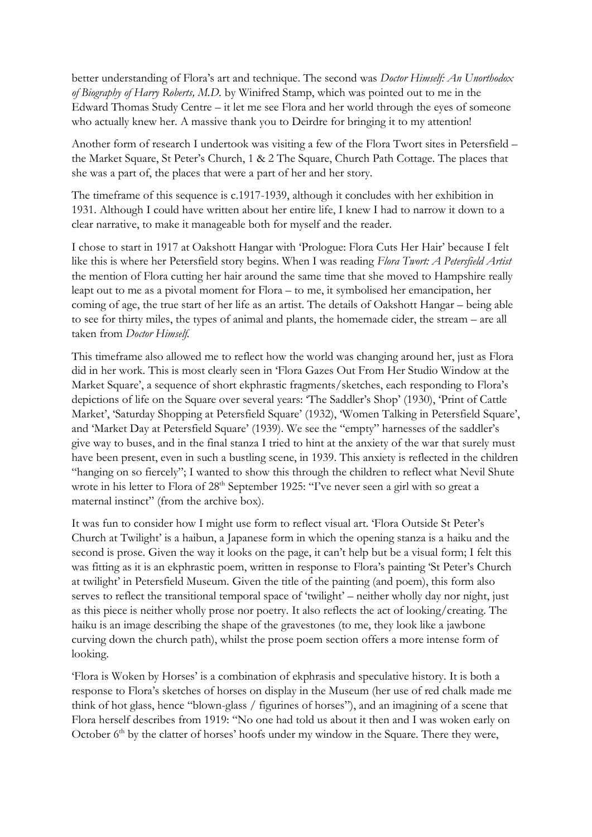better understanding of Flora's art and technique. The second was *Doctor Himself: An Unorthodox of Biography of Harry Roberts, M.D.* by Winifred Stamp, which was pointed out to me in the Edward Thomas Study Centre – it let me see Flora and her world through the eyes of someone who actually knew her. A massive thank you to Deirdre for bringing it to my attention!

Another form of research I undertook was visiting a few of the Flora Twort sites in Petersfield – the Market Square, St Peter's Church, 1 & 2 The Square, Church Path Cottage. The places that she was a part of, the places that were a part of her and her story.

The timeframe of this sequence is c.1917-1939, although it concludes with her exhibition in 1931. Although I could have written about her entire life, I knew I had to narrow it down to a clear narrative, to make it manageable both for myself and the reader.

I chose to start in 1917 at Oakshott Hangar with 'Prologue: Flora Cuts Her Hair' because I felt like this is where her Petersfield story begins. When I was reading *Flora Twort: A Petersfield Artist* the mention of Flora cutting her hair around the same time that she moved to Hampshire really leapt out to me as a pivotal moment for Flora – to me, it symbolised her emancipation, her coming of age, the true start of her life as an artist. The details of Oakshott Hangar – being able to see for thirty miles, the types of animal and plants, the homemade cider, the stream – are all taken from *Doctor Himself.* 

This timeframe also allowed me to reflect how the world was changing around her, just as Flora did in her work. This is most clearly seen in 'Flora Gazes Out From Her Studio Window at the Market Square', a sequence of short ekphrastic fragments/sketches, each responding to Flora's depictions of life on the Square over several years: 'The Saddler's Shop' (1930), 'Print of Cattle Market', 'Saturday Shopping at Petersfield Square' (1932), 'Women Talking in Petersfield Square', and 'Market Day at Petersfield Square' (1939). We see the "empty" harnesses of the saddler's give way to buses, and in the final stanza I tried to hint at the anxiety of the war that surely must have been present, even in such a bustling scene, in 1939. This anxiety is reflected in the children "hanging on so fiercely"; I wanted to show this through the children to reflect what Nevil Shute wrote in his letter to Flora of 28<sup>th</sup> September 1925: "I've never seen a girl with so great a maternal instinct" (from the archive box).

It was fun to consider how I might use form to reflect visual art. 'Flora Outside St Peter's Church at Twilight' is a haibun, a Japanese form in which the opening stanza is a haiku and the second is prose. Given the way it looks on the page, it can't help but be a visual form; I felt this was fitting as it is an ekphrastic poem, written in response to Flora's painting 'St Peter's Church at twilight' in Petersfield Museum. Given the title of the painting (and poem), this form also serves to reflect the transitional temporal space of 'twilight' – neither wholly day nor night, just as this piece is neither wholly prose nor poetry. It also reflects the act of looking/creating. The haiku is an image describing the shape of the gravestones (to me, they look like a jawbone curving down the church path), whilst the prose poem section offers a more intense form of looking.

'Flora is Woken by Horses' is a combination of ekphrasis and speculative history. It is both a response to Flora's sketches of horses on display in the Museum (her use of red chalk made me think of hot glass, hence "blown-glass / figurines of horses"), and an imagining of a scene that Flora herself describes from 1919: "No one had told us about it then and I was woken early on October  $6<sup>th</sup>$  by the clatter of horses' hoofs under my window in the Square. There they were,